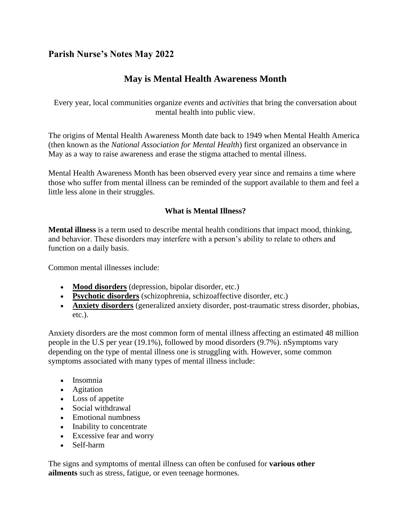# **Parish Nurse's Notes May 2022**

# **May is Mental Health Awareness Month**

Every year, local communities organize *events* and *activities* that bring the conversation about mental health into public view.

The origins of Mental Health Awareness Month date back to 1949 when Mental Health America (then known as the *National Association for Mental Health*) first organized an observance in May as a way to raise awareness and erase the stigma attached to mental illness.

Mental Health Awareness Month has been observed every year since and remains a time where those who suffer from mental illness can be reminded of the support available to them and feel a little less alone in their struggles.

# **What is Mental Illness?**

**Mental illness** is a term used to describe mental health conditions that impact mood, thinking, and behavior. These disorders may interfere with a person's ability to relate to others and function on a daily basis.

Common mental illnesses include:

- **[Mood disorders](https://mentalhealthfoundation.org/health-conditions/mood-disorders/)** (depression, bipolar disorder, etc.)
- **[Psychotic disorders](https://mentalhealthfoundation.org/health-conditions/schizophrenia-psychotic-disorders/)** (schizophrenia, schizoaffective disorder, etc.)
- **[Anxiety disorders](https://mentalhealthfoundation.org/health-conditions/anxiety-disorders/)** (generalized anxiety disorder, post-traumatic stress disorder, phobias, etc.).

Anxiety disorders are the most common form of mental illness affecting an estimated 48 million people in the U.S per year (19.1%), followed by mood disorders (9.7%). nSymptoms vary depending on the type of mental illness one is struggling with. However, some common symptoms associated with many types of mental illness include:

- Insomnia
- Agitation
- Loss of appetite
- Social withdrawal
- Emotional numbness
- Inability to concentrate
- Excessive fear and worry
- Self-harm

The signs and symptoms of mental illness can often be confused for **various other ailments** such as stress, fatigue, or even teenage hormones.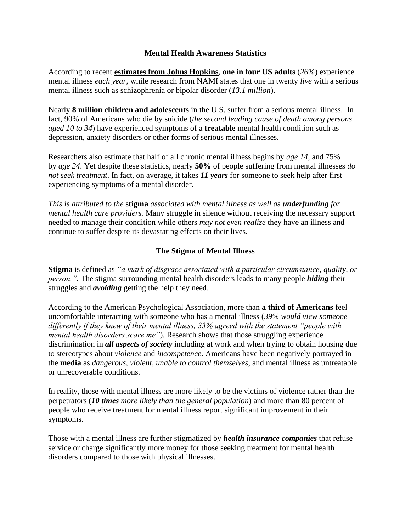#### **Mental Health Awareness Statistics**

According to recent **[estimates from Johns Hopkins](https://www.hopkinsmedicine.org/health/wellness-and-prevention/mental-health-disorder-statistics)**, **one in four US adults** (*26%*) experience mental illness *each year*, while research from NAMI states that one in twenty *live* with a serious mental illness such as schizophrenia or bipolar disorder (*13.1 million*).

Nearly **8 million children and adolescents** in the U.S. suffer from a serious mental illness. In fact, 90% of Americans who die by suicide (*the second leading cause of death among persons aged 10 to 34*) have experienced symptoms of a **treatable** mental health condition such as depression, anxiety disorders or other forms of serious mental illnesses.

Researchers also estimate that half of all chronic mental illness begins by *age 14*, and 75% by *age 24*. Yet despite these statistics, nearly **50%** of people suffering from mental illnesses *do not seek treatment*. In fact, on average, it takes *11 years* for someone to seek help after first experiencing symptoms of a mental disorder.

*This is attributed to the* **stigma** *associated with mental illness as well as underfunding for mental health care providers.* Many struggle in silence without receiving the necessary support needed to manage their condition while others *may not even realize* they have an illness and continue to suffer despite its devastating effects on their lives.

#### **The Stigma of Mental Illness**

**Stigma** is defined as *"a mark of disgrace associated with a particular circumstance, quality, or person.".* The stigma surrounding mental health disorders leads to many people *hiding* their struggles and *avoiding* getting the help they need.

According to the American Psychological Association, more than **a third of Americans** feel uncomfortable interacting with someone who has a mental illness (*39% would view someone differently if they knew of their mental illness, 33% agreed with the statement "people with mental health disorders scare me"*). Research shows that those struggling experience discrimination in *all aspects of society* including at work and when trying to obtain housing due to stereotypes about *violence* and *incompetence*. Americans have been negatively portrayed in the **media** as *dangerous, violent, unable to control themselves*, and mental illness as untreatable or unrecoverable conditions.

In reality, those with mental illness are more likely to be the victims of violence rather than the perpetrators (*10 times more likely than the general population*) and more than 80 percent of people who receive treatment for mental illness report significant improvement in their symptoms.

Those with a mental illness are further stigmatized by *health insurance companies* that refuse service or charge significantly more money for those seeking treatment for mental health disorders compared to those with physical illnesses.